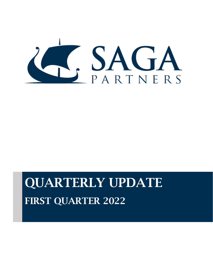

# QUARTERLY UPDATE FIRST QUARTER 2022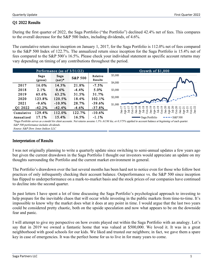### Q1 2022 Results

During the first quarter of 2022, the Saga Portfolio ("the Portfolio") declined 42.4% net of fees. This compares to the overall decrease for the S&P 500 Index, including dividends, of 4.6%.

The cumulative return since inception on January 1, 2017, for the Saga Portfolio is 112.0% net of fees compared to the S&P 500 Index of 122.7%. The annualized return since inception for the Saga Portfolio is 15.4% net of fees compared to the S&P 500's 16.5%. Please check your individual statement as specific account returns may vary depending on timing of any contributions throughout the period.

|            |                 | Performance (as of 3/31/22) |                    | Growth of \$1,000   |                                                                                                                                                                                                                                                                                                                                                                                                                                                                    |  |  |  |  |  |
|------------|-----------------|-----------------------------|--------------------|---------------------|--------------------------------------------------------------------------------------------------------------------------------------------------------------------------------------------------------------------------------------------------------------------------------------------------------------------------------------------------------------------------------------------------------------------------------------------------------------------|--|--|--|--|--|
|            | Saga<br>(gross) | Saga<br>$(net)^*$           | <b>S&amp;P 500</b> | Relative<br>Results | \$5,000<br>\$4,000                                                                                                                                                                                                                                                                                                                                                                                                                                                 |  |  |  |  |  |
| 2017       | 16.0%           | 14.3%                       | 21.8%              | $-7.5%$             |                                                                                                                                                                                                                                                                                                                                                                                                                                                                    |  |  |  |  |  |
| 2018       | 2.1%            | $0.6\%$                     | $-4.4%$            | 5.0%                | \$3,000                                                                                                                                                                                                                                                                                                                                                                                                                                                            |  |  |  |  |  |
| 2019       | 65.6%           | 63.2%                       | 31.5%              | 31.7%               |                                                                                                                                                                                                                                                                                                                                                                                                                                                                    |  |  |  |  |  |
| 2020       | 123.8%          | 120.5%                      | 18.4%              | 102.1%              | \$2,000<br>Comment of the state of the state                                                                                                                                                                                                                                                                                                                                                                                                                       |  |  |  |  |  |
| 2021       | $-9.6\%$        | $-10.9%$                    | 28.7%              | $-39.6%$            | \$1,000                                                                                                                                                                                                                                                                                                                                                                                                                                                            |  |  |  |  |  |
| Q1 2022    | $-42.2%$        | $-42.4%$                    | $-4.6%$            | $-37.8%$            | ∼<br>$\begin{array}{l} \text{in}\ -1 \\ \text{in}\ -20 \\ \text{in}\ -20 \\ \text{in}\ -20 \\ \text{in}\ -20 \\ \text{in}\ -21 \\ \text{in}\ -21 \\ \text{in}\ -21 \\ \text{in}\ -22 \\ \text{in}\ -22 \\ \text{in}\ -22 \\ \text{in}\ -22 \\ \text{in}\ -22 \\ \text{in}\ -22 \\ \text{in}\ -22 \\ \text{in}\ -22 \\ \text{in}\ -22 \\ \text{in}\ -22 \\ \text{in}\ -22 \\ \text{in}\ -22 \\ \text{in}\ -22 \\ \text{in}\ -22 \\ \text{in}\ -22 \\ \text{in}\ -2$ |  |  |  |  |  |
| Cumulative | 129.4%          | 112.0%                      | 122.7%             | $-10.6%$            | _ai<br>휴로<br>$O$ ct-<br>-<br>この<br>この<br>$\frac{1}{2}$ $\frac{1}{2}$ $\frac{1}{5}$<br>Jai<br>ģ.                                                                                                                                                                                                                                                                                                                                                                    |  |  |  |  |  |
| Annualized | 17.1%           | 15.4%                       | 16.5%              | $-1.1%$             | Saga Portfolio<br>$-$ - S&P 500                                                                                                                                                                                                                                                                                                                                                                                                                                    |  |  |  |  |  |

\*Saga Portfolio serves as a model for client accounts. Net returns assume 1.5% AUM fee, or 0.375% applied to account balance at beginning of each quarter. S&P 500 performance includes dividends.

Source: S&P Dow Jones Indices LLC

#### Interpretation of Results

I was not originally planning to write a quarterly update since switching to semi-annual updates a few years ago but given the current drawdown in the Saga Portfolio I thought our investors would appreciate an update on my thoughts surrounding the Portfolio and the current market environment in general.

The Portfolio's drawdown over the last several months has been hard not to notice even for those who follow best practices of only infrequently checking their account balance. Outperformance vs. the S&P 500 since inception has flipped to underperformance on a mark-to-market basis and the stock prices of our companies have continued to decline into the second quarter.

In past letters I have spent a lot of time discussing the Saga Portfolio's psychological approach to investing to help prepare for the inevitable chaos that will occur while investing in the public markets from time-to-time. It's impossible to know why the market does what it does at any point in time. I would argue that the last two years could be considered pretty chaotic, both on the upside speculation and now what appears to be on the downside fear and panic.

I will attempt to give my perspective on how events played out within the Saga Portfolio with an analogy. Let's say that in 2019 we owned a fantastic home that was valued at \$500,000. We loved it. It was in a great neighborhood with good schools for our kids. We liked and trusted our neighbors; in fact, we gave them a spare key in case of emergencies. It was the perfect home for us to live in for many years to come.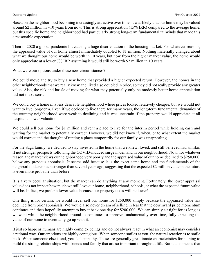Based on the neighborhood becoming increasingly attractive over time, it was likely that our home may be valued around \$2 million in  $\sim$ 10 years from now. This is strong appreciation (15% IRR) compared to the average home, but this specific home and neighborhood had particularly strong long-term fundamental tailwinds that made this a reasonable expectation.

Then in 2020 a global pandemic hit causing a huge disorientation in the housing market. For whatever reasons, the appraised value of our home almost immediately doubled to \$1 million. Nothing materially changed about what we thought our home would be worth in 10 years, but now from the higher market value, the home would only appreciate at a lower 7% IRR assuming it would still be worth \$2 million in 10 years.

What were our options under these new circumstances?

We could move and try to buy a new home that provided a higher expected return. However, the homes in the other neighborhoods that we really knew and liked also doubled in price, so they did not really provide any greater value. Also, the risk and hassle of moving for what may potentially only be modestly better home appreciation did not make sense.

We could buy a home in a less desirable neighborhood where prices looked relatively cheaper, but we would not want to live long-term. Even if we decided to live there for many years, the long-term fundamental dynamics of the crummy neighborhood were weak to declining and it was uncertain if the property would appreciate at all despite its lower valuation.

We could sell our home for \$1 million and rent a place to live for the interim period while holding cash and waiting for the market to potentially correct. However, we did not know if, when, or to what extent the market would correct and the thought of renting a place temporarily for our family was unappealing.

For the Saga family, we decided to stay invested in the home that we knew, loved, and still believed had similar, if not stronger prospects following the COVID-induced surge in demand in our neighborhood. Now, for whatever reason, the market views our neighborhood very poorly and the appraised value of our home declined to \$250,000, below any previous appraisals. It seems odd because it is the exact same home and the fundamentals of the neighborhood are much stronger than several years ago, suggesting that the expected \$2 million value in the future is even more probable than before.

It is a very peculiar situation, but the market can do anything at any moment. Fortunately, the lower appraisal value does not impact how much we still love our home, neighborhood, schools, or what the expected future value will be. In fact, we prefer a lower value because our property taxes will be lower!

One thing is for certain, we would never sell our home for \$250,000 simply because the appraised value has declined from prior appraisals. We would also never dream of selling in fear that the downward price momentum continues and then hopefully attempt to buy it back one day for \$200,000. We can simply sit tight for as long as we want while the neighborhood around us continues to improve fundamentally over time, fully expecting the value of our home to eventually go up with it.

It just so happens humans are highly complex beings and do not always react in what an economist may consider a rational way. Our emotions are highly contagious. When someone smiles at you, the natural reaction is to smile back. When someone else is sad, you feel empathy. These are generally great innate characteristics for helping to build the strong relationships with friends and family that are so important throughout life. But it also means that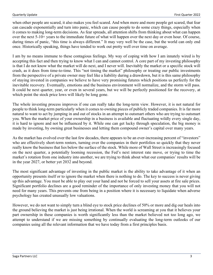when other people are scared, it also makes you feel scared. And when more and more people get scared, that fear can cascade exponentially and turn into panic, which can cause people to do some crazy things, especially when it comes to making long-term decisions. As fear spreads, all attention shifts from thinking about what can happen over the next 5-10+ years to the immediate future of what will happen over the next day or even hour. Of course, during times of panic, "this time is always different." It may very well be the case, but the world can only end once. Historically speaking, things have tended to work out pretty well over time on average.

I am by no means immune to these contagious feelings. My way of coping with how I am innately wired is by accepting this fact and then trying to know what I can and cannot control. A core part of my investing philosophy is that I do not know what the market will do next, and I never will. Inevitably the market or a specific stock will crash, as it does from time-to-time. This "not timing the market" philosophy or treating our public investments from the perspective of a private owner may feel like a liability during a drawdown, but it is this same philosophy of staying invested in companies we believe to have very promising futures which positions us perfectly for the inevitable recovery. Eventually, emotions and the business environment will normalize, and the storm will pass. It could be next quarter, year, or even in several years, but we will be perfectly positioned for the recovery, at which point the stock price lows will likely be long gone.

The whole investing process improves if one can really take the long-term view. However, it is not natural for people to think long-term particularly when it comes to owning pieces of publicly traded companies. It is far more natural to want to act by jumping in and out of stocks in an attempt to outsmart others who are trying to outsmart you. When the market price of your ownership in a business is available and fluctuating wildly every single day, it is hard to ignore and not be influenced by it. While one can get lucky through speculation, the big money is made by investing, by owning great businesses and letting them compound owner's capital over many years.

As the market has evolved over the last few decades, there appears to be an ever-increasing percent of "investors" who are effectively short-term renters, turning over the companies in their portfolios so quickly that they never really know the business that lies below the surface of the stock. While more of Wall Street is increasingly focused on the next quarter, a potentially looming recession, the Fed's next interest rate move, or trying to time the market's rotation from one industry into another, we are trying to think about what our companies' results will be in the year 2027, or better yet 2032 and beyond.

The most significant advantage of investing in the public market is the ability to take advantage of it when an opportunity presents itself or to ignore the market when there is nothing to do. The key to success is never giving up this advantage. You must be able to play out your hand and not be forced to sell your assets at fire sale prices. Significant portfolio declines are a good reminder of the importance of only investing money that you will not need for many years. This prevents one from being in a position where it is necessary to liquidate when adverse psychology has created unusually low valuations.

However, we do not want to simply turn a blind eye to stock price declines of 50% or more and dig our heals into the ground believing the market is just being irrational. When the world is screaming at you that it believes your part ownership in these companies is worth significantly less than the market believed not too long ago, we attempt to understand if we are missing something by continually evaluating the long-term outlooks of our companies using all the relevant information that we have today from a first principles basis.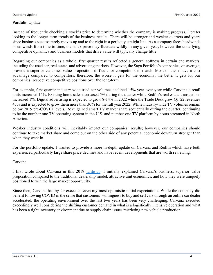# Portfolio Update

Instead of frequently checking a stock's price to determine whether the company is making progress, I prefer looking to the longer-term trends of the business results. There will be stronger and weaker quarters and years since business success rarely moves up and to the right in a perfectly straight line. As a company faces headwinds or tailwinds from time-to-time, the stock price may fluctuate wildly in any given year, however the underlying competitive dynamics and business models that drive value will typically change little.

Regarding our companies as a whole, first quarter results reflected a general softness in certain end markets, including the used car, real estate, and advertising markets. However, the Saga Portfolio's companies, on average, provide a superior customer value proposition difficult for competitors to match. Most of them have a cost advantage compared to competitors; therefore, the worse it gets for the economy, the better it gets for our companies' respective competitive positions over the long-term.

For example, first quarter industry-wide used car volumes declined 15% year-over-year while Carvana's retail units increased 14%. Existing home sales decreased 5% during the quarter while Redfin's real estate transactions increased 1%. Digital advertising is expected to grow 8-14% in 2022 while the Trade Desk grew Q1'22 revenues 43% and is expected to grow them more than 30% for the full year 2022. While industry-wide TV volumes remain below 2019 pre-COVID levels, Roku gained smart TV market share sequentially during the quarter, continuing to be the number one TV operating system in the U.S. and number one TV platform by hours streamed in North America.

Weaker industry conditions will inevitably impact our companies' results; however, our companies should continue to take market share and come out on the other side of any potential economic downturn stronger than when they went in.

For the portfolio update, I wanted to provide a more in-depth update on Carvana and Redfin which have both experienced particularly large share price declines and have recent developments that are worth reviewing.

#### Carvana

I first wrote about Carvana in this 2019 [write-up.](https://www.sagapartners.com/_files/ugd/3b0d6d_53bf81b768e34d8eaf03e8cc6dc060fd.pdf) I initially explained Carvana's business, superior value proposition compared to the traditional dealership model, attractive unit economics, and how they were uniquely positioned to win the large market opportunity.

Since then, Carvana has by far exceeded even my most optimistic initial expectations. While the company did benefit following COVID in the sense that customers' willingness to buy and sell cars through an online car dealer accelerated, the operating environment over the last two years has been very challenging. Carvana executed exceedingly well considering the shifting customer demand in what is a logistically intensive operation and what has been a tight inventory environment due to supply chain issues restricting new vehicle production.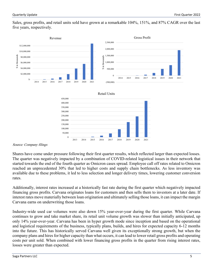Sales, gross profits, and retail units sold have grown at a remarkable 104%, 151%, and 87% CAGR over the last five years, respectively.



#### Source: Company filings

Shares have come under pressure following their first quarter results, which reflected larger than expected losses. The quarter was negatively impacted by a combination of COVID-related logistical issues in their network that started towards the end of the fourth quarter as Omicron cases spread. Employee call off rates related to Omicron reached an unprecedented 30% that led to higher costs and supply chain bottlenecks. As less inventory was available due to these problems, it led to less selection and longer delivery times, lowering customer conversion rates.

Additionally, interest rates increased at a historically fast rate during the first quarter which negatively impacted financing gross profits. Carvana originates loans for customers and then sells them to investors at a later date. If interest rates move materially between loan origination and ultimately selling those loans, it can impact the margin Carvana earns on underwriting those loans.

Industry-wide used car volumes were also down 15% year-over-year during the first quarter. While Carvana continues to grow and take market share, its retail unit volume growth was slower than initially anticipated, up only 14% year-over-year. Carvana has been in hyper growth mode since inception and based on the operational and logistical requirements of the business, typically plans, builds, and hires for expected capacity 6-12 months into the future. This has historically served Carvana well given its exceptionally strong growth, but when the company plans and hires for higher capacity than what occurs, it can lead to lower retail gross profits and operating costs per unit sold. When combined with lower financing gross profits in the quarter from rising interest rates, losses were greater than expected.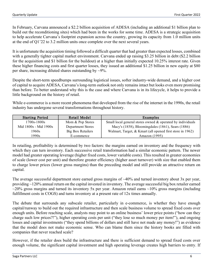In February, Carvana announced a \$2.2 billion acquisition of ADESA (including an additional \$1 billion plan to build out the reconditioning sites) which had been in the works for some time. ADESA is a strategic acquisition to help accelerate Carvana's footprint expansion across the country, growing its capacity from 1.0 million units at the end of Q1'22 to 3.2 million units once complete over the next several years.

It is unfortunate the acquisition timing followed a difficult quarter that had greater than expected losses, combined with a generally tighter capital market environment. Carvana ended up raising \$3.25 billion in debt (\$2.2 billion for the acquisition and \$1 billion for the buildout) at a higher than initially expected 10.25% interest rate. Given these higher financing costs and first quarter losses, they issued an additional \$1.25 billion in new equity at \$80 per share, increasing diluted shares outstanding by  $\sim$ 9%.

Despite the short-term speedbumps surrounding logistical issues, softer industry-wide demand, and a higher cost of capital to acquire ADESA, Carvana's long-term outlook not only remains intact but looks even more promising than before. To better understand why this is the case and where Carvana is in its lifecycle, it helps to provide a little background on the history of retail.

While e-commerce is a more recent phenomena that developed from the rise of the internet in the 1990s, the retail industry has undergone several transformations throughout history.

| <b>Starting Period</b> | Retail Model             | Examples                                                   |
|------------------------|--------------------------|------------------------------------------------------------|
| $1700s - 1800s$        | Mom & Pop Stores         | Small local general stores owned & operated by individuals |
| Mid 1800s - Mid 1900s  | <b>Department Stores</b> | Macy's (1858), Bloomingdales (1861), Sears (1886)          |
| 1960s                  | <b>Big Box Retailers</b> | Walmart, Target, & Kmart (all opened first store in 1962)  |
| 1990s                  | E-commerce               | Amazon $(1995)$                                            |

In retailing, profitability is determined by two factors: the margins earned on inventory and the frequency with which they can turn inventory. Each successive retail transformation had a similar economic pattern. The newer model had greater operating leverage (higher fixed costs, lower variable costs). This resulted in greater economies of scale (lower cost per unit) and therefore greater efficiency (higher asset turnover) with size that enabled them to charge lower prices (lower gross margins) than the preceding model and still provide an attractive return on capital.

The average successful department store earned gross margins of ~40% and turned inventory about 3x per year, providing ~120% annual return on the capital invested in inventory. The average successful big box retailer earned  $~20\%$  gross margins and turned its inventory 5x per year. Amazon retail earns  $~10\%$  gross margins (including fulfillment costs in COGS) and turns inventory at a present rate of 12x times annually.

The debate that surrounds any subscale retailer, particularly in e-commerce, is whether they have enough capital/runway to build out the required infrastructure and then scale business volume to spread fixed costs over enough units. Before reaching scale, analysts may point to an online business' lower price points ("how can they charge such low prices?!"), higher operating costs per unit ("they lose so much money per item!"), and ongoing losses and capital investments ("they spend billions of dollars and still have not made any money!") as evidence that the model does not make economic sense. Who can blame them since the history books are filled with companies that never reached scale?

However, if the retailer does build the infrastructure and there is sufficient demand to spread fixed costs over enough volume, the significant capital investment and high operating leverage creates high barriers to entry. If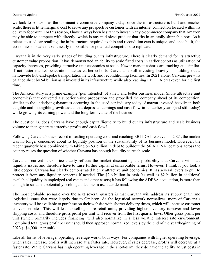we look to Amazon as the dominant e-commerce company today, once the infrastructure is built and reaches scale, there is little marginal cost to serve any prospective customer with an internet connection located within its delivery footprint. For this reason, I have always been hesitant to invest in any e-commerce company that Amazon may be able to compete with directly, which is any mid-sized product that fits in an easily shippable box. As it relates to used car retailing, the infrastructure required to ship and recondition cars is unique, and once built, the economies of scale make it nearly impossible for potential competitors to replicate.

Carvana is in the very early stages of building out its infrastructure. There is clearly demand for its attractive customer value proposition. It has demonstrated an ability to scale fixed costs in earlier cohorts as utilization of capacity increases, providing attractive unit economics at scale. Newer market cohorts are tracking at a similar, if not faster market penetration rate as earlier cohorts. Carvana is still investing heavily in building out a nationwide hub-and-spoke transportation network and reconditioning facilities. In 2021 alone, Carvana grew its balance sheet by \$4 billion as it invested in its infrastructure while also reaching EBITDA breakeven for the first time.

The Amazon story is a prime example (pun intended) of a new and better business model (more attractive unit economics) that delivered a superior value proposition and propelled the company ahead of its competition, similar to the underlying dynamics occurring in the used car industry today. Amazon invested heavily in both tangible and intangible growth assets that depressed earnings and cash flow in its earlier years (and still today) while growing its earning power and the long-term value of the business.

The question is, does Carvana have enough capital/liquidity to build out its infrastructure and scale business volume to then generate attractive profits and cash flow?

Following Carvana's track record of scaling operating costs and reaching EBITDA breakeven in 2021, the market was no longer concerned about its liquidity position or the sustainability of its business model. However, the recent quarterly loss combined with taking on \$3 billion in debt to buildout the 56 ADESA locations across the country raises the question of whether Carvana has enough liquidity to reach scale.

Carvana's current stock price clearly reflects the market discounting the probability that Carvana will face liquidity issues and therefore have to raise further capital at unfavorable terms. However, I think if you look a little deeper, Carvana has clearly demonstrated highly attractive unit economics. It has several levers to pull to protect it from any liquidity concerns if needed. The \$2.6 billion in cash (as well as \$2 billion in additional available liquidity in unpledged real estate and other assets) it has following the ADESA acquisition, is more than enough to sustain a potentially prolonged decline in used car demand.

The most probable scenario over the next several quarters is that Carvana will address its supply chain and logistical issues that were largely due to Omicron. As the logistical network normalizes, more of Carvana's inventory will be available to purchase on their website with shorter delivery times, which will increase customer conversion rates. This will lead to selling more retail units, providing higher inventory turnover and lower shipping costs, and therefore gross profit per unit will recover from the first quarter lows. Other gross profit per unit (which primarily includes financing) will also normalize in a less volatile interest rate environment. Combined total gross profit per unit should then approach normalized levels by the end of the year/beginning of 2023 (~\$4,000+ per unit).

Like all forms of leverage, operating leverage works both ways. For companies with higher operating leverage, when sales increase, profits will increase at a faster rate. However, if sales decrease, profits will decrease at a faster rate. While Carvana has high operating leverage in the short-term, they do have the ability adjust costs in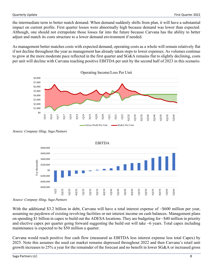the intermediate term to better match demand. When demand suddenly shifts from plan, it will have a substantial impact on current profits. First quarter losses were abnormally high because demand was lower than expected. Although, one should not extrapolate those losses far into the future because Carvana has the ability to better adjust and match its costs structure to a lower demand environment if needed.

As management better matches costs with expected demand, operating costs as a whole will remain relatively flat if not decline throughout the year as management has already taken steps to lower expenses. As volumes continue to grow at the more moderate pace reflected in the first quarter and SG&A remains flat to slightly declining, costs per unit will decline with Carvana reaching positive EBITDA per unit by the second half of 2023 in this scenario.







Source: Company filing, Saga Partners

With the additional \$3.2 billion in debt, Carvana will have a total interest expense of ~\$600 million per year, assuming no paydown of existing revolving facilities or net interest income on cash balances. Management plans on spending \$1 billion in capex to build out the ADESA locations. They are budgeting for ~\$40 million in priority and elective capex per quarter going forward suggesting the build out will take ~6 years. Total capex including maintenance is expected to be \$50 million a quarter.

Carvana would reach positive free cash flow (measured as EBITDA less interest expense less total Capex) by 2025. Note this assumes the used car market remains depressed throughout 2022 and then Carvana's retail unit growth increases to 25% a year for the remainder of the forecast and no benefit in lower SG&A or increased gross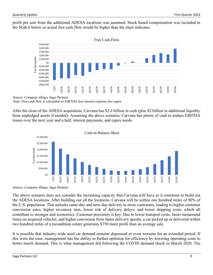profit per unit from the additional ADESA locations was assumed. Stock based compensation was included in the SG&A below so actual free cash flow would be higher than the chart indicates.



Source: Company filings, Saga Partners Note: Free cash flow is calculated as EBITDA less interest expense less capex

After the close of the ADESA acquisition, Carvana has \$2.6 billion in cash (plus \$2 billion in additional liquidity from unpledged assets if needed). Assuming the above scenario, Carvana has plenty of cash to endure EBITDA losses over the next year and a half, interest payments, and capex needs.



Source: Company filings, Saga Partners

The above scenario does not consider the increasing capacity that Carvana will have as it continues to build out the ADESA locations. After building out all the locations, Carvana will be within one hundred miles of 80% of the U.S. population. This unlocks same-day and next-day delivery to more customers, leading to higher customer conversion rates, higher inventory turn, lower risk of delivery delays, and lower shipping costs, which all contribute to stronger unit economics. Customer proximity is key. Due to lower transport costs, faster turnaround times on acquired vehicles, and higher conversion from faster delivery speeds, a car picked up or delivered within two hundred miles of a recondition center generates \$750 more profit than an average sale.

It is possible that industry-wide used car demand remains depressed or even worsens for an extended period. If this were the case, management has the ability to further optimize for efficiency by lowering operating costs to better match demand. This is what management did following the COVID demand shock in March 2020. The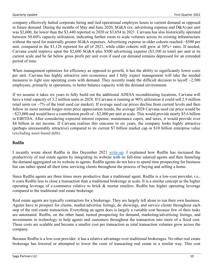company effectively halted corporate hiring and tied operational employee hours to current demand as opposed to future demand. During the months of May and June 2020, SG&A (ex. advertising expense and D&A) per unit was \$2,600, far lower than the \$3,440 reported in 2020 or \$3,654 in 2021. Carvana has also historically operated between 50-60% capacity utilization, indicating further room to scale volumes across its existing infrastructure without the need for materially greater SG&A expenses. Advertising expense in older cohorts reached ~\$500 per unit, compared to the \$1,126 reported for all of 2021, while older cohorts still grew at 30%+ rates. If needed, Carvana could improve upon the \$2,600 SG&A plus \$500 advertising expense (\$3,100 in total) per unit at its current scale and be far below gross profit per unit even if used car demand remains depressed for an extended period of time.

When management optimizes for efficiency as opposed to growth, it has the ability to significantly lower costs per unit. Carvana has highly attractive unit economics and I fully expect management will take the needed measures to right size operating costs with demand. They recently made the difficult decision to layoff  $\sim$ 2,500 employees, primarily in operations, to better balance capacity with the demand environment.

If we assume it takes six years to fully build out the additional ADESA reconditioning locations, Carvana will have a total capacity of 3.2 million units in 2028. If Carvana is running at 90% utilization it could sell 2.9 million retail units (or ~7% of the total used car market). If average used car prices decline from current levels and then follow its more normal longer-term price appreciation trends, the average 2028 Carvana used car price would be  $\sim$ \$23,000 and would have a contribution profit of  $\sim$ \$2,000 per unit at scale. This would provide nearly \$5.6 billion in EBITDA. After considering expected interest expense, maintenance capex, and taxes, it would provide over \$4 billion in net income. If Carvana realizes this outcome in six years, the company looks highly attractive (perhaps unreasonably attractive) compared to its current \$7 billion market cap or \$10 billion enterprise value (excluding asset-based debt).

# Redfin

I recently wrote about Redfin in this December 2021 [write-up.](https://www.sagapartners.com/_files/ugd/3b0d6d_6da5e8e6f6544ea5ae736de50d2d6fc0.pdf) I explained how Redfin has increased the productivity of real estate agents by integrating its website with its full-time salaried agents and then funneling the demand aggregated on its website to agents. Redfin agents do not have to spend time prospecting for business but can rather spend all their time servicing clients throughout the process of buying and selling a home.

Since Redfin agents are three times more productive than a traditional agent, Redfin is a low-cost provider, i.e., it costs Redfin less to close a transaction than a traditional brokerage at scale. It is a similar concept as the higher operating leverage of e-commerce relative to brick & mortar retailers. Redfin has higher operating leverage compared to the traditional real estate brokerage.

Real estate agents are typically contractors for a brokerage. They are largely left alone to run their own business. Agents have to prospect for clients, market/advertise listings, do showings, and service clients throughout each step of the real estate transaction. Everything an agent does is largely a variable cost because few of their tasks are automated. Redfin, on the other hand, turned prospecting for demand, marketing/advertising listings, and investments in technology to help agents and customers throughout the transaction into more of a fixed cost. These costs are scalable and become a smaller cost per transaction as total transaction volumes grow across the company.

Because Redfin is a low-cost provider, it has a relative advantage over traditional brokerages. No other real estate brokerage has lowered or attempted to lower the costs of transacting real estate in a similar way. This cost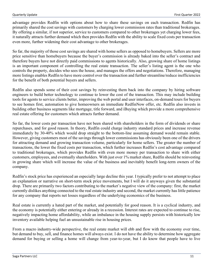advantage provides Redfin with options about how to share these savings on each transaction. Redfin has primarily shared the cost savings with customers by charging lower commission rates than traditional brokerages. By offering a similar, if not superior, service to customers compared to other brokerages yet charging lower fees, it naturally attracts further demand which then provides Redfin with the ability to scale fixed costs per transaction even more, further widening their cost advantage to other brokerages.

So far, the majority of those cost savings are shared with home sellers as opposed to homebuyers. Sellers are more price sensitive than homebuyers because the buyer's commission is already baked into the seller's contract and therefore buyers have not directly paid commissions to agents historically. Also, growing share of home listings is an important component of controlling the real estate transaction. The seller's listing agent is the one who controls the property, decides who sees the house, and manages the offers and negotiations. Therefore, managing more listings enables Redfin to have more control over the transaction and further streamline/reduce inefficiencies for the benefit of both potential buyers and sellers.

Redfin also spends some of their cost savings by reinvesting them back into the company by hiring software engineers to build better technology to continue to lower the cost of the transaction. This may include building tools for agents to service clients better, improving the web portal and user interfaces, on-demand tours for buyers to see homes first, automation to give homeowners an immediate RedfinNow offer, etc. Redfin also invests in building other business segments like mortgage, title forward, and iBuying which provide a more comprehensive real estate offering for customers which attracts further demand.

So far, the lower costs per transaction have not been shared with shareholders in the form of dividends or share repurchases, and for good reason. In theory, Redfin could charge industry standard prices and increase revenue immediately by 30-40% which would drop straight to the bottom-line assuming demand would remain stable. However, giving customers most of the savings through lower commissions has obviously been one of the drivers for attracting demand and growing transaction volume, particularly for home sellers. The greater the number of transactions, the lower the fixed costs per transaction, which further increases Redfin's cost advantage compared to traditional brokerages, which provides Redfin with even more money per transaction to share with either customers, employees, and eventually shareholders. With just over 1% market share, Redfin should be reinvesting in growing share which will increase the value of the business and inevitably benefit long-term owners of the company.

Redfin's stock price has experienced an especially large decline this year. I typically prefer to not attempt to place an explanation or narrative on short-term stock price movements, but I will do it anyways given the substantial drop. There are primarily two factors contributing to the market's negative view of the company: first, the market currently dislikes anything connected to the real estate industry and second, the market currently has little patience for any company that reports net losses regardless of the underlying economics of the business.

Real estate is currently a hated part of the market, and potentially for good reason. It is a cyclical industry, and the economy is potentially either entering or already in a recession. Interest rates are expected to continue to rise, negatively impacting home affordability, while an imbalance in the housing supply persists with historically low inventory available helping fuel an unsustainable rise in housing prices.

From a macro industry-wide perspective, the real estate market will ebb and flow with the economy over time, but demand to buy, sell, and finance homes will always exist. I do not have the ability to determine how aggregate demand for buying or selling a home will change from year-to-year, but I do know that people have to live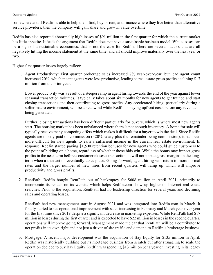somewhere and if Redfin is able to help them find, buy or rent, and finance where they live better than alternative service providers, then the company will gain share and grow in value overtime.

Redfin has also reported abnormally high losses of \$91 million in the first quarter for which the current market has little appetite. It feeds the argument that Redfin does not have a sustainable business model. While losses can be a sign of unsustainable economics, that is not the case for Redfin. There are several factors that are all negatively hitting the income statement at the same time, and all should improve materially over the next year or two.

Higher first quarter losses largely reflect:

1. Agent Productivity: First quarter brokerage sales increased 7% year-over-year, but lead agent count increased 20%, which meant agents were less productive, leading to real estate gross profits declining \$17 million from the prior year.

Lower productivity was a result of a steeper ramp in agent hiring towards the end of the year against lower seasonal transaction volumes. It typically takes about six months for new agents to get trained and start closing transactions and then contributing to gross profits. Any accelerated hiring, particularly during a softer macro environment, will be a headwind while Redfin is paying upfront costs before any revenue is being generated.

Further, closing transactions has been difficult particularly for buyers, which is where most new agents start. The housing market has been unbalanced where there is not enough inventory. A home for sale will typically receive many competing offers which makes it difficult for a buyer to win the deal. Since Redfin agents are mostly paid on commission  $(\sim 20\%$  salary plus the remainder being commission), it has been more difficult for new agents to earn a sufficient income in the current real estate environment. In response, Redfin started paying \$1,500 retention bonuses for new agents who could guide customers to the point of bidding on a home, regardless of whether those bids win. While the bonus may impact gross profits in the near-term before a customer closes a transaction, it will not impact gross margins in the longterm when a transaction eventually takes place. Going forward, agent hiring will return to more normal rates and the larger number of new hires from recent quarters will ramp up which will improve productivity and gross profits.

2. RentPath: Redfin bought RentPath out of bankruptcy for \$608 million in April 2021, primarily to incorporate its rentals on its website which helps Redfin.com show up higher on Internet real estate searches. Prior to the acquisition, RentPath had no leadership direction for several years and declining sales and operating losses.

RentPath had new management start in August 2021 and was integrated into Redfin.com in March. It finally started to see operational improvement with sales increasing in February and March year-over-year for the first time since 2019 despite a significant decrease in marketing expenses. While RentPath had \$17 million in losses during the first quarter and is expected to have \$22 million in losses in the second quarter, operations will improve going forward. Management made it clear that RentPath will be a contributor to net profits in its own right and not just a driver of site traffic and demand to Redfin's brokerage business.

3. Mortgage: A recent major development was the acquisition of Bay Equity for \$135 million in April. Redfin was historically building out its mortgage business from scratch but after struggling to scale the operation decided to buy Bay Equity. Redfin was spending \$13 million per a year on investing in its legacy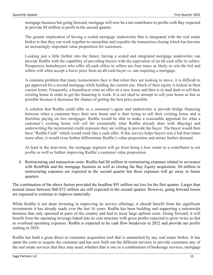mortgage business but going forward, mortgage will now be a net contributor to profits with Bay expected to provide \$4 million in profit in the second quarter.

The greater implication of having a scaled mortgage underwriter that is integrated with the real estate broker is that they can work together to streamline and expedite the transaction closing which has become an increasingly important value proposition for customers.

Looking just a little further into the future, having a scaled and integrated mortgage underwriter can provide Redfin with the capability of providing buyers with the equivalent of an all-cash offer to sellers. Prospective homebuyers who offer all-cash offers to sellers are four times as likely to win the bid and sellers will often accept a lower price from an all-cash buyer vs. one requiring a mortgage.

A common problem that many homeowners face is that when they are looking to move, it is difficult to get approved for a second mortgage while holding the current one. Much of their equity is locked in their current home. Frequently, a homebuyer wins an offer on a new home and then is in mad dash to sell their existing home in order to get the financing to work. It is not ideal to attempt to sell your home as fast as possible because it decreases the chance of getting the best price possible.

A solution that Redfin could offer as a customer's agent and underwriter is provide bridge financing between when a customer buys their new home and is then trying to sell their existing home and is therefore paying on two mortgages. Redfin would be able to make a reasonable appraisal for what a customer's existing home will sell for (essentially what Redfin already does with iBuying) and underwriting the incremental credit exposure they are willing to provide the buyer. The buyer would then have "Redfin Cash" which would work like a cash offer. If this service helps buyers win a bid four times more often, it would even further differentiate Redfin's value proposition and attract further demand.

At least in the near-term, the mortgage segment will go from being a loss center to a contributor to net profits as well as further improving Redfin's customer value proposition.

4. Restructuring and transaction costs: Redfin had \$6 million in restructuring expenses related to severance with RentPath and the mortgage business as well as closing the Bay Equity acquisition. \$4 million in restructuring expenses are expected in the second quarter but these expenses will go away in future quarters.

The combination of the above factors provided the headline \$91 million net loss for the first quarter. Larger than normal losses between \$60-\$72 million are still expected in the second quarter. However, going forward losses are expected to continue to improve materially.

While Redfin is not done investing in improving its service offerings, it should benefit from the significant investments it has already made over the last 16 years. Redfin has been building and supporting a nationwide business that only operated in parts of the country and had to incur large upfront costs. Going forward, it will benefit from the operating leverage baked into its cost structure with gross profits expected to grow twice as fast as overhead operating expenses. Redfin is expected to be cash flow breakeven in 2022 and provide net profits starting in 2024.

Redfin has built a great direct to consumer acquisition tool that is unmatched by any real estate broker. It has spent the costs to acquire the customer and has now built out the different services to provide customers any of the real estate services that they may need, whether that is one or a combination of brokerage services, mortgage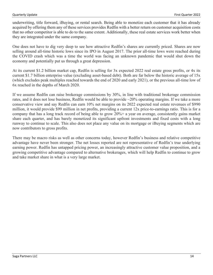underwriting, title forward, iBuying, or rental search. Being able to monetize each customer that it has already acquired by offering them any of these services provides Redfin with a better return on customer acquisition costs that no other competitor is able to do to the same extent. Additionally, these real estate services work better when they are integrated under the same company.

One does not have to dig very deep to see how attractive Redfin's shares are currently priced. Shares are now selling around all-time historic lows since its IPO in August 2017. The prior all-time lows were reached during the COVID crash which was a time the world was facing an unknown pandemic that would shut down the economy and potentially put us through a great depression.

At its current \$1.2 billion market cap, Redfin is selling for 3x expected 2022 real estate gross profits, or 4x its current \$1.7 billion enterprise value (excluding asset-based debt). Both are far below the historic average of 15x (which excludes peak multiples reached towards the end of 2020 and early 2021), or the previous all-time low of 6x reached in the depths of March 2020.

If we assume Redfin can raise brokerage commissions by 30%, in line with traditional brokerage commission rates, and it does not lose business, Redfin would be able to provide ~20% operating margins. If we take a more conservative view and say Redfin can earn 10% net margins on its 2022 expected real estate revenues of \$990 million, it would provide \$99 million in net profits, providing a current 12x price-to-earnings ratio. This is for a company that has a long track record of being able to grow 20%+ a year on average, consistently gains market share each quarter, and has barely monetized its significant upfront investments and fixed costs with a long runway to continue to scale. This also does not place any value on its mortgage or iBuying segments which are now contributors to gross profits.

There may be macro risks as well as other concerns today, however Redfin's business and relative competitive advantage have never been stronger. The net losses reported are not representative of Redfin's true underlying earning power. Redfin has untapped pricing power, an increasingly attractive customer value proposition, and a growing competitive advantage compared to alternative brokerages, which will help Redfin to continue to grow and take market share in what is a very large market.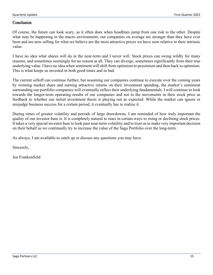#### **Conclusion**

Of course, the future can look scary, as it often does when headlines jump from one risk to the other. Despite what may be happening in the macro environment, our companies on average are stronger than they have ever been and are now selling for what we believe are the most attractive prices we have seen relative to their intrinsic value.

I have no idea what shares will do in the near-term and I never will. Stock prices can swing wildly for many reasons, and sometimes seemingly for no reason at all. They can diverge, sometimes significantly from their true underlying value. I have no idea when sentiment will shift from optimism to pessimism and then back to optimism. This is what keeps us invested in both good times and in bad.

The current selloff can continue further, but assuming our companies continue to execute over the coming years by winning market share and earning attractive returns on their investment spending, the market's sentiment surrounding our portfolio companies will eventually reflect their underlying fundamentals. I will continue to look towards the longer-term operating results of our companies and not to the movements in their stock price as feedback to whether our initial investment thesis is playing out as expected. While the market can ignore or misjudge business success for a certain period, it eventually has to realize it.

During times of greater volatility and periods of large drawdowns, I am reminded of how truly important the quality of our investor base is. It is completely natural to react in certain ways to rising or declining stock prices. It takes a very special investor base to look past near-term volatility and to trust us to make very important decision on their behalf as we continually try to increase the value of the Saga Portfolio over the long-term.

As always, I am available to catch up or discuss any questions you may have.

Sincerely,

Joe Frankenfield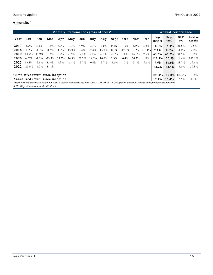# Appendix 1

| Monthly Performance (gross of fees)*                                                                                                                       |           |          |           |         |          |         |          |          |          |           | Annual Performance |           |                 |                     |            |                     |
|------------------------------------------------------------------------------------------------------------------------------------------------------------|-----------|----------|-----------|---------|----------|---------|----------|----------|----------|-----------|--------------------|-----------|-----------------|---------------------|------------|---------------------|
| Year                                                                                                                                                       | Jan       | Feb      | Mar       | Apr     | May      | Jun     | July     | Aug      | Sept     | Oct       | Nov.               | Dec       | Saga<br>(gross) | Saga<br>(net)       | S&P<br>500 | Relative<br>Results |
| 2017                                                                                                                                                       | 3.9%      | 3.8%     | $-1.2\%$  | $3.2\%$ | $-0.3\%$ | 4.9%    | 2.9%     | $-7.0\%$ | $0.4\%$  | $-1.5\%$  | $3.4\%$            | $3.2\%$   | 16.0%           | 14.3%               | 21.8%      | $-7.5\%$            |
| 2018                                                                                                                                                       | $1.5\%$   | $-4.3\%$ | $-0.2\%$  | $1.3\%$ | 13.9%    | $1.4\%$ | $-2.4\%$ | 15.7%    | $0.1\%$  | $-12.1\%$ | $6.8\%$            | $-15.1\%$ | 2.1%            | $0.6\%$             | $-4.4\%$   | $5.0\%$             |
| 2019                                                                                                                                                       | 18.7%     | 13.9%    | $-1.2\%$  | 8.7%    | $-8.5\%$ | 12.2%   | $2.1\%$  | $-7.1\%$ | $-5.5\%$ | $3.6\%$   | $16.5\%$           | $2.6\%$   | 65.6%           | 63.2%               | 31.5%      | 31.7%               |
| 2020                                                                                                                                                       | $-4.7\%$  | $-1.0\%$ | $-23.5\%$ | 33.5%   | 14.9%    | 21.2%   | 18.6%    | 10.0%    | 2.3%     | $-0.4\%$  | 24.3%              | $1.0\%$   |                 | 123.8% 120.5%       | 18.4%      | 102.1%              |
| 2021                                                                                                                                                       | 13.8%     | $-2.1\%$ | $-13.0\%$ | $4.9\%$ | $-6.4\%$ | 13.7%   | $-0.4\%$ | $-3.7\%$ | $-4.6\%$ | $4.2\%$   | $-3.1\%$           | $-9.6\%$  |                 | $-9.6\% -10.9\%$    | 28.7%      | $-39.6%$            |
| 2022                                                                                                                                                       | $-25.0\%$ | $-6.0\%$ | $-18.1\%$ |         |          |         |          |          |          |           |                    |           |                 | $-42.2\%$ $-42.4\%$ | $-4.6\%$   | $-37.8%$            |
|                                                                                                                                                            |           |          |           |         |          |         |          |          |          |           |                    |           |                 |                     |            |                     |
| Cumulative return since inception<br>129.4% 112.0%<br>122.7%                                                                                               |           |          |           |         |          |         |          |          |          |           | $-10.6\%$          |           |                 |                     |            |                     |
| Annualized return since inception<br>17.1% 15.4%<br>16.5%                                                                                                  |           |          |           |         |          |         |          |          |          | $-1.1\%$  |                    |           |                 |                     |            |                     |
| *Saga Portfolio serves as a model for client accounts. Net returns assume 1.5% AUM fee, or 0.375% applied to account balance at beginning of each quarter. |           |          |           |         |          |         |          |          |          |           |                    |           |                 |                     |            |                     |

\*Saga Portfolio serves as a model for client accounts. Net returns assume 1.5% AUM fee, or 0.375% applied to account balance at beginning of each quarter. S&P 500 performance includes dividends.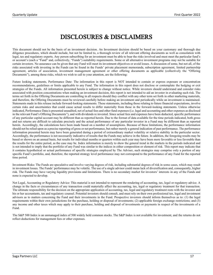# DISCLOSURES & DISCLAIMERS

This document should not be the basis of an investment decision. An Investment decision should be based on your customary and thorough due diligence procedures, which should include, but not be limited to, a thorough review of all relevant offering documents as well as consolation with legal, tax and regulatory experts. Any person subscribing for an investment must be able to bear the risks involved and must meet the particular fund's or account's (each a "Fund" and, collectively, "Funds") suitability requirements. Some or all alternative investment programs may not be suitable for certain investors. No assurance can be given that any Fund will meet its investment objectives or avoid losses. A discussion of some, but not all, of the risks associated with investing in the Funds can be found in the Funds' private placement memoranda, subscription agreement, limited partnership agreement, articles of association, investment management agreement or other offering documents as applicable (collectively the "Offering Documents"), among those risks, which we wish to call to your attention, are the following:

Future looking statements, Performance Date: The information in this report is NOT intended to contain or express exposure or concentration recommendations, guidelines or limits applicable to any Fund. The information in this report does not disclose or contemplate the hedging or exit strategies of the Funds. All information presented herein is subject to change without notice. While investors should understand and consider risks associated with position concentrations when making an investment decision, this report is not intended to aid an investor in evaluating such risk. The terms set forth in the Offering Documents are controlling in all respects should they conflict with any other term set forth in other marketing materials, and therefore, the Offering Documents must be reviewed carefully before making an investment and periodically while an investment is maintained. Statements made in this release include forward-looking statements. These statements, including those relating to future financial expectations, involve certain risks and uncertainties that could cause actual results to differ materially from those in the forward-looking statements. Unless otherwise indicated, Performance Data is presented unaudited, net of actual fees and other fund expenses (i.e. legal and accounting and other expenses as disclosed in the relevant Fund's Offering Documents"), and with dividends re invested. Since actual fees and expenses have been deducted, specific performance of any particular capital account may be different than as reported herein. Due to the format of data available for the time periods indicated, both gross and net returns are difficult to calculate precisely and the actual performance of any particular investor in a Fund may be different than as reported herein. Accordingly, the calculations have been made based on a number of assumptions. Because of these limitations, the performance information should not be relied upon as a precise reporting of gross or net performance, but rather merely a general indication of past performance. The performance information presented herein may have been generated during a period of extraordinary market volatility or relative stability in the particular sector. Accordingly, the performance is not necessarily indicative of results that the Funds may achieve in the future. In addition, the foregoing results may be based or shown on an annual basis, but results for individual months or quarters within each year may have been more favorable or less favorable than the results for the entire period, as the case may be. Index information is merely to show the general trend in the markets in the periods indicated and is not intended to imply that the portfolio of any Fund was similar to the indices in either composition or element of risk. This report may indicate that it contains hypothetical or actual performance of specific strategies employed by The Adviser, such strategies may comprise only a portion of any specific Fund's portfolio, and, therefore, the reported strategy level performance may not correspond to the performance of any Fund for the reported time period.

Investment Risks: The Funds are speculative and involve varying degrees of risk, including substantial degrees of risk in some cases, which may result in investment losses. The Funds' performance may be volatile. The use of a single advisor could mean lack of diversification and, consequently, higher risk. The Funds may have varying liquidity provisions and limitations. There is no secondary market for investors' interests in any of the Funds and none is expected to develop.

Not Legal, Accounting or Regulatory Advice: This material is not intended to represent the rendering of accounting, tax, legal or regulatory advice. A change in the facts or circumstances of any transaction could materially affect the accounting, tax, legal or regulatory treatment for that transaction. The ultimate responsibility for the decision on the appropriate application of accounting, tax, legal and regulatory treatment rests with the investor and his or her accountants, tax and regulatory counsel. Potential investors should consult, and must rely on their own professional tax, legal and investment advisors as to matters concerning the Fund and their investments in the Fund. Prospective investors should inform themselves as to: (1) the legal requirements within their own jurisdictions for the purchase, holding or disposal of investments; (2) applicable foreign exchange restrictions; and (3) any income and other taxes which may apply to their purchase, holding and disposal of investments or payments in respect of the investments of a Fund.

The S&P 500 Index is an unmanaged index of 500 widely held common stocks. The S&P Index is not available for investment, and the returns do not reflect deductions for management fees or other expenses.